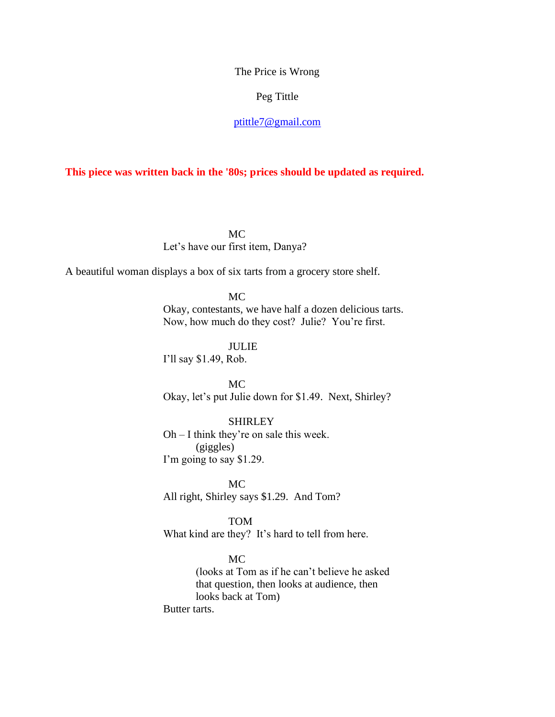The Price is Wrong

# Peg Tittle

## [ptittle7@gmail.com](mailto:ptittle7@gmail.com)

# **This piece was written back in the '80s; prices should be updated as required.**

MC

Let's have our first item, Danya?

A beautiful woman displays a box of six tarts from a grocery store shelf.

MC

Okay, contestants, we have half a dozen delicious tarts. Now, how much do they cost? Julie? You're first.

JULIE

I'll say \$1.49, Rob.

MC Okay, let's put Julie down for \$1.49. Next, Shirley?

#### SHIRLEY

Oh – I think they're on sale this week. (giggles) I'm going to say \$1.29.

MC All right, Shirley says \$1.29. And Tom?

TOM

What kind are they? It's hard to tell from here.

MC

(looks at Tom as if he can't believe he asked that question, then looks at audience, then looks back at Tom)

Butter tarts.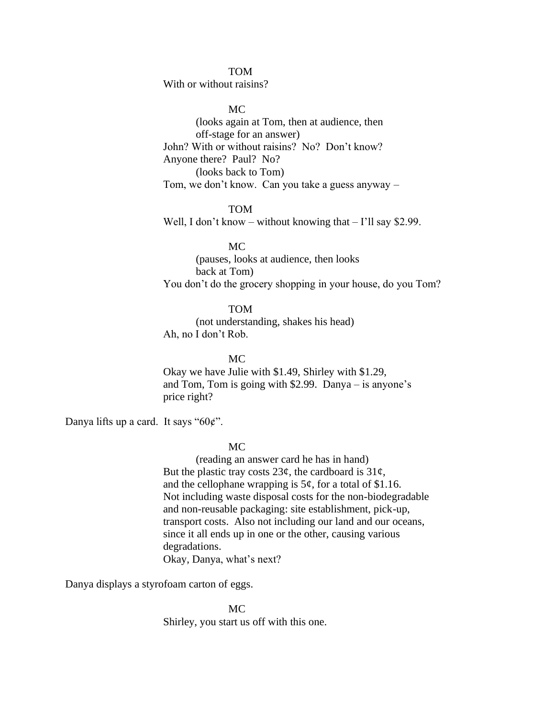#### TOM

With or without raisins?

MC

(looks again at Tom, then at audience, then off-stage for an answer) John? With or without raisins? No? Don't know? Anyone there? Paul? No? (looks back to Tom) Tom, we don't know. Can you take a guess anyway –

TOM

Well, I don't know – without knowing that – I'll say \$2.99.

MC (pauses, looks at audience, then looks back at Tom) You don't do the grocery shopping in your house, do you Tom?

TOM

(not understanding, shakes his head) Ah, no I don't Rob.

MC

Okay we have Julie with \$1.49, Shirley with \$1.29, and Tom, Tom is going with \$2.99. Danya – is anyone's price right?

Danya lifts up a card. It says " $60¢$ ".

### MC

(reading an answer card he has in hand) But the plastic tray costs  $23¢$ , the cardboard is  $31¢$ , and the cellophane wrapping is  $5¢$ , for a total of \$1.16. Not including waste disposal costs for the non-biodegradable and non-reusable packaging: site establishment, pick-up, transport costs. Also not including our land and our oceans, since it all ends up in one or the other, causing various degradations. Okay, Danya, what's next?

Danya displays a styrofoam carton of eggs.

MC Shirley, you start us off with this one.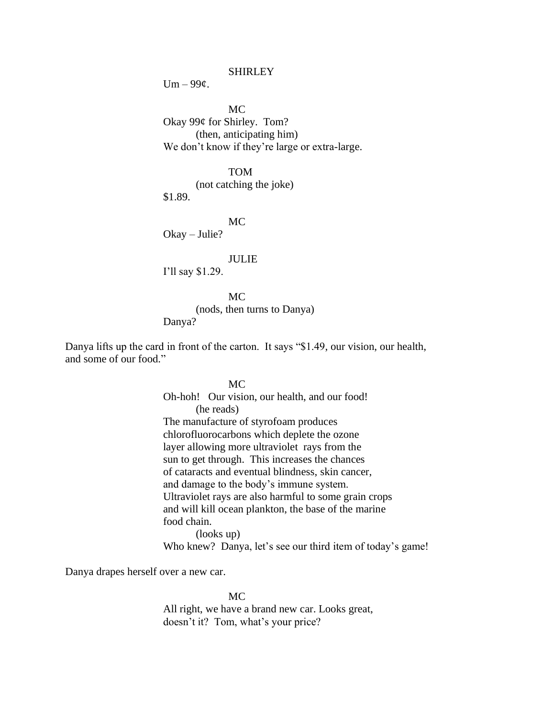SHIRLEY

 $Um-99¢.$ 

MC Okay 99¢ for Shirley. Tom? (then, anticipating him) We don't know if they're large or extra-large.

## TOM

(not catching the joke) \$1.89.

MC Okay – Julie?

JULIE

I'll say \$1.29.

MC (nods, then turns to Danya) Danya?

Danya lifts up the card in front of the carton. It says "\$1.49, our vision, our health, and some of our food."

## MC

Oh-hoh! Our vision, our health, and our food! (he reads) The manufacture of styrofoam produces chlorofluorocarbons which deplete the ozone layer allowing more ultraviolet rays from the sun to get through. This increases the chances of cataracts and eventual blindness, skin cancer, and damage to the body's immune system. Ultraviolet rays are also harmful to some grain crops and will kill ocean plankton, the base of the marine food chain. (looks up) Who knew? Danya, let's see our third item of today's game!

Danya drapes herself over a new car.

MC All right, we have a brand new car. Looks great, doesn't it? Tom, what's your price?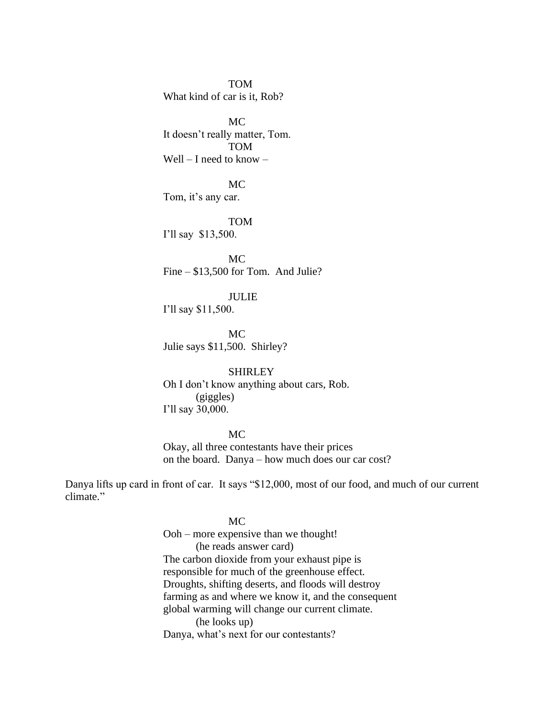TOM What kind of car is it, Rob?

MC It doesn't really matter, Tom. TOM Well – I need to know –

MC Tom, it's any car.

TOM I'll say \$13,500.

MC Fine – \$13,500 for Tom. And Julie?

JULIE

I'll say \$11,500.

MC Julie says \$11,500. Shirley?

SHIRLEY Oh I don't know anything about cars, Rob. (giggles) I'll say 30,000.

MC

Okay, all three contestants have their prices on the board. Danya – how much does our car cost?

Danya lifts up card in front of car. It says "\$12,000, most of our food, and much of our current climate."

> MC Ooh – more expensive than we thought! (he reads answer card) The carbon dioxide from your exhaust pipe is responsible for much of the greenhouse effect. Droughts, shifting deserts, and floods will destroy farming as and where we know it, and the consequent global warming will change our current climate. (he looks up) Danya, what's next for our contestants?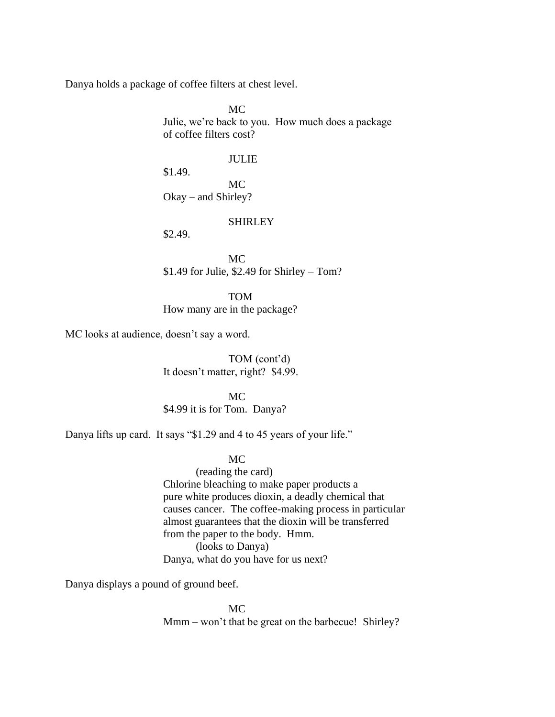Danya holds a package of coffee filters at chest level.

MC Julie, we're back to you. How much does a package of coffee filters cost?

## JULIE

\$1.49. MC Okay – and Shirley?

#### **SHIRLEY**

\$2.49.

MC  $$1.49$  for Julie,  $$2.49$  for Shirley – Tom?

TOM How many are in the package?

MC looks at audience, doesn't say a word.

TOM (cont'd) It doesn't matter, right? \$4.99.

MC \$4.99 it is for Tom. Danya?

Danya lifts up card. It says "\$1.29 and 4 to 45 years of your life."

### MC

(reading the card) Chlorine bleaching to make paper products a pure white produces dioxin, a deadly chemical that causes cancer. The coffee-making process in particular almost guarantees that the dioxin will be transferred from the paper to the body. Hmm. (looks to Danya) Danya, what do you have for us next?

Danya displays a pound of ground beef.

MC Mmm – won't that be great on the barbecue! Shirley?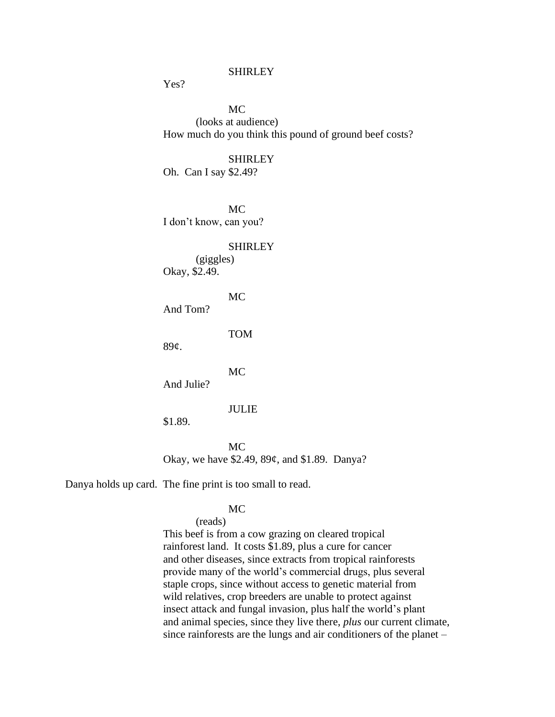## **SHIRLEY**

Yes?

MC (looks at audience) How much do you think this pound of ground beef costs?

SHIRLEY Oh. Can I say \$2.49?

MC I don't know, can you?

#### SHIRLEY

(giggles) Okay, \$2.49.

MC

And Tom?

TOM

89¢.

MC

And Julie?

## JULIE

\$1.89.

MC Okay, we have \$2.49, 89¢, and \$1.89. Danya?

Danya holds up card. The fine print is too small to read.

## MC

#### (reads)

This beef is from a cow grazing on cleared tropical rainforest land. It costs \$1.89, plus a cure for cancer and other diseases, since extracts from tropical rainforests provide many of the world's commercial drugs, plus several staple crops, since without access to genetic material from wild relatives, crop breeders are unable to protect against insect attack and fungal invasion, plus half the world's plant and animal species, since they live there, *plus* our current climate, since rainforests are the lungs and air conditioners of the planet –